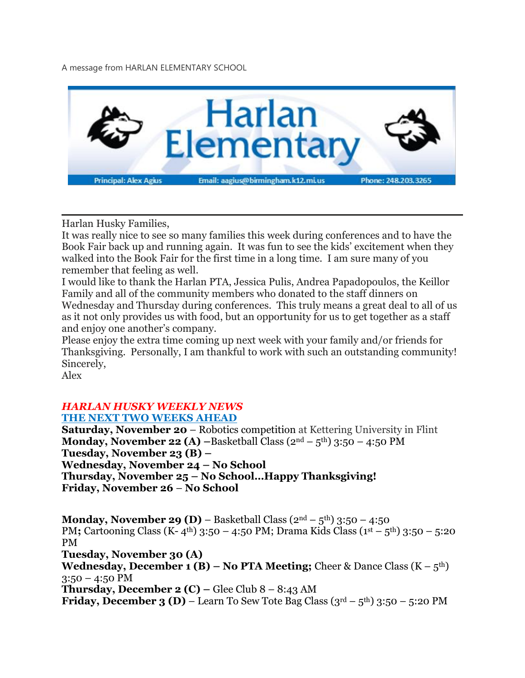A message from HARLAN ELEMENTARY SCHOOL



Harlan Husky Families,

It was really nice to see so many families this week during conferences and to have the Book Fair back up and running again. It was fun to see the kids' excitement when they walked into the Book Fair for the first time in a long time. I am sure many of you remember that feeling as well.

I would like to thank the Harlan PTA, Jessica Pulis, Andrea Papadopoulos, the Keillor Family and all of the community members who donated to the staff dinners on Wednesday and Thursday during conferences. This truly means a great deal to all of us as it not only provides us with food, but an opportunity for us to get together as a staff and enjoy one another's company.

Please enjoy the extra time coming up next week with your family and/or friends for Thanksgiving. Personally, I am thankful to work with such an outstanding community! Sincerely,

Alex

### *HARLAN HUSKY WEEKLY NEWS* **THE NEXT TWO WEEKS AHEAD**

**Saturday, November 20** – Robotics competition at Kettering University in Flint **Monday, November 22 (A) –**Basketball Class (2nd – 5th) 3:50 – 4:50 PM **Tuesday, November 23 (B) – Wednesday, November 24 – No School Thursday, November 25 – No School…Happy Thanksgiving! Friday, November 26** – **No School**

**Monday, November 29 (D)** – Basketball Class (2nd – 5th) 3:50 – 4:50 PM; Cartooning Class (K- 4<sup>th</sup>) 3:50 – 4:50 PM; Drama Kids Class (1<sup>st</sup> – 5<sup>th</sup>) 3:50 – 5:20 PM **Tuesday, November 30 (A) Wednesday, December <b>1 (B)** – **No PTA Meeting;** Cheer & Dance Class  $(K - 5<sup>th</sup>)$  $3:50 - 4:50$  PM **Thursday, December 2 (C)** – Glee Club  $8 - 8:43$  AM **Friday, December 3 (D) – Learn To Sew Tote Bag Class**  $(3^{rd} - 5^{th})$  **3:50 – 5:20 PM**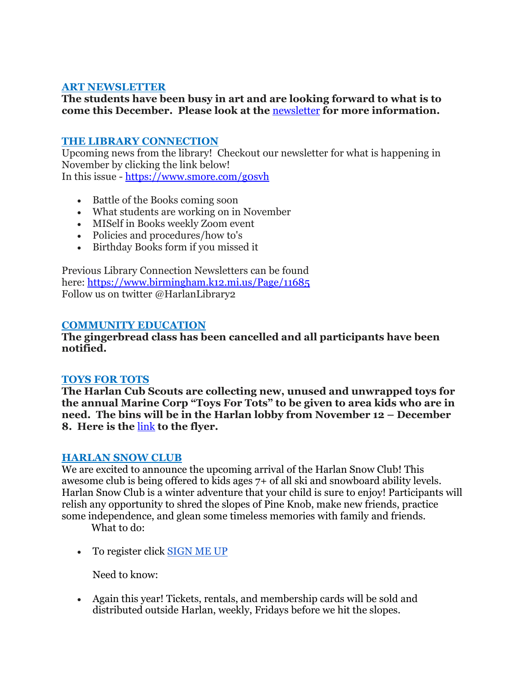# **ART NEWSLETTER**

# **The students have been busy in art and are looking forward to what is to come this December. Please look at the** [newsletter](https://drive.google.com/file/d/1XwDk_0J0Turwu60ckw90hhD_vTDTZrSG/view?usp=sharing) **for more information.**

### **THE LIBRARY CONNECTION**

Upcoming news from the library! Checkout our newsletter for what is happening in November by clicking the link below! In this issue - <https://www.smore.com/g0svh>

- Battle of the Books coming soon
- What students are working on in November
- MISelf in Books weekly Zoom event
- Policies and procedures/how to's
- Birthday Books form if you missed it

Previous Library Connection Newsletters can be found here: <https://www.birmingham.k12.mi.us/Page/11685> Follow us on twitter @HarlanLibrary2

### **COMMUNITY EDUCATION**

**The gingerbread class has been cancelled and all participants have been notified.**

#### **TOYS FOR TOTS**

**The Harlan Cub Scouts are collecting new, unused and unwrapped toys for the annual Marine Corp "Toys For Tots" to be given to area kids who are in need. The bins will be in the Harlan lobby from November 12 – December 8. Here is the** [link](https://drive.google.com/file/d/1BoDsq-4AbW3GA2-NMvv3DfKXkym-Z3U3/view?usp=sharing) **to the flyer.**

#### **HARLAN SNOW CLUB**

We are excited to announce the upcoming arrival of the Harlan Snow Club! This awesome club is being offered to kids ages 7+ of all ski and snowboard ability levels. Harlan Snow Club is a winter adventure that your child is sure to enjoy! Participants will relish any opportunity to shred the slopes of Pine Knob, make new friends, practice some independence, and glean some timeless memories with family and friends.

What to do:

• To register click [SIGN](https://docs.google.com/forms/d/e/1FAIpQLScXn8rWqfJwSAY9lOeXMOYWa0RKiadnyUI5wSMR0hA0NiWsJQ/viewform?usp=sf_link) ME UP

Need to know:

• Again this year! Tickets, rentals, and membership cards will be sold and distributed outside Harlan, weekly, Fridays before we hit the slopes.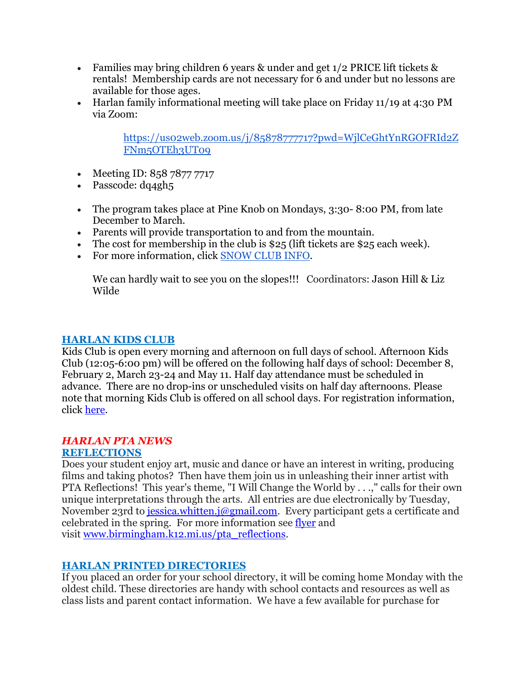- Families may bring children 6 years & under and get 1/2 PRICE lift tickets & rentals! Membership cards are not necessary for 6 and under but no lessons are available for those ages.
- Harlan family informational meeting will take place on Friday 11/19 at 4:30 PM via Zoom:

[https://us02web.zoom.us/j/85878777717?pwd=WjlCeGhtYnRGOFRId2Z](https://us02web.zoom.us/j/85878777717?pwd=WjlCeGhtYnRGOFRId2ZFNm5OTEh3UT09) [FNm5OTEh3UT09](https://us02web.zoom.us/j/85878777717?pwd=WjlCeGhtYnRGOFRId2ZFNm5OTEh3UT09)

- Meeting ID: 858 7877 7717
- Passcode: dq4gh5
- The program takes place at Pine Knob on Mondays, 3:30-8:00 PM, from late December to March.
- Parents will provide transportation to and from the mountain.
- The cost for membership in the club is  $$25$  (lift tickets are  $$25$  each week).
- For more information, click [SNOW](https://docs.google.com/document/d/1bnAwIdS-SRvsUcCgVJIH13l6UmdCSkB44PqCI1BaTFo/edit?usp=sharing) CLUB INFO.

We can hardly wait to see you on the slopes!!! Coordinators: Jason Hill & Liz Wilde

### **HARLAN KIDS CLUB**

Kids Club is open every morning and afternoon on full days of school. Afternoon Kids Club (12:05-6:00 pm) will be offered on the following half days of school: December 8, February 2, March 23-24 and May 11. Half day attendance must be scheduled in advance. There are no drop-ins or unscheduled visits on half day afternoons. Please note that morning Kids Club is offered on all school days. For registration information, click [here.](https://www.birmingham.k12.mi.us/cms/lib/MI01908619/Centricity/Domain/494/2021-2022%20KIDS%20CLUB%20registration%20instructions.pdf)

## *HARLAN PTA NEWS*

## **REFLECTIONS**

Does your student enjoy art, music and dance or have an interest in writing, producing films and taking photos? Then have them join us in unleashing their inner artist with PTA Reflections! This year's theme, "I Will Change the World by . . .," calls for their own unique interpretations through the arts. All entries are due electronically by Tuesday, November 23rd to [jessica.whitten.j@gmail.com.](mailto:jessica.whitten.j@gmail.com) Every participant gets a certificate and celebrated in the spring. For more information see [flyer](https://drive.google.com/file/d/194_iLzCjYvMWFDfW1-fcIA557pzbJ0Cd/view?usp=sharing) and visit [www.birmingham.k12.mi.us/pta\\_reflections.](http://www.birmingham.k12.mi.us/pta_reflections)

## **HARLAN PRINTED DIRECTORIES**

If you placed an order for your school directory, it will be coming home Monday with the oldest child. These directories are handy with school contacts and resources as well as class lists and parent contact information. We have a few available for purchase for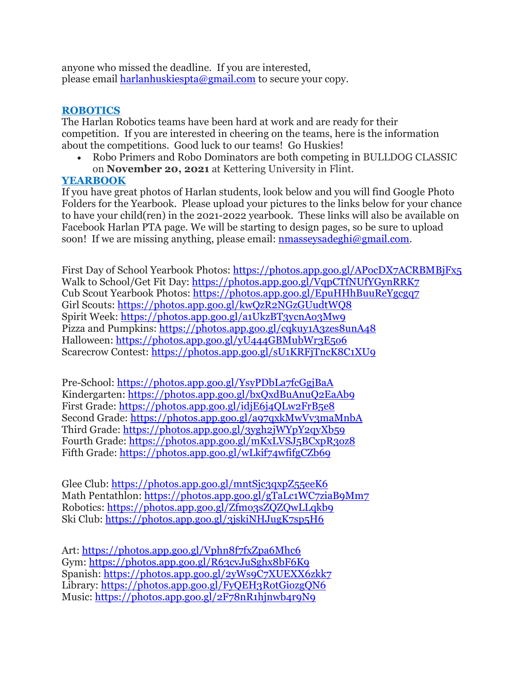anyone who missed the deadline. If you are interested, please email **[harlanhuskiespta@gmail.com](mailto:harlanhuskiespta@gmail.com)** to secure your copy.

# **ROBOTICS**

The Harlan Robotics teams have been hard at work and are ready for their competition. If you are interested in cheering on the teams, here is the information about the competitions. Good luck to our teams! Go Huskies!

• Robo Primers and Robo Dominators are both competing in BULLDOG CLASSIC on **November 20, 2021** at Kettering University in Flint.

# **YEARBOOK**

If you have great photos of Harlan students, look below and you will find Google Photo Folders for the Yearbook. Please upload your pictures to the links below for your chance to have your child(ren) in the 2021-2022 yearbook. These links will also be available on Facebook Harlan PTA page. We will be starting to design pages, so be sure to upload soon! If we are missing anything, please email: [nmasseysadeghi@gmail.com.](mailto:nmasseysadeghi@gmail.com)

First Day of School Yearbook Photos: <https://photos.app.goo.gl/APocDX7ACRBMBjFx5> Walk to School/Get Fit Day: <https://photos.app.goo.gl/VqpCTfNUfYGynRRK7> Cub Scout Yearbook Photos: <https://photos.app.goo.gl/EpuHHhBuuReYgcgq7> Girl Scouts: <https://photos.app.goo.gl/kwQzR2NGzGUudtWQ8> Spirit Week: <https://photos.app.goo.gl/a1UkzBT3ycnAo3Mw9> Pizza and Pumpkins: <https://photos.app.goo.gl/cqkuy1A3zes8unA48> Halloween: <https://photos.app.goo.gl/yU444GBMubWr3E5o6> Scarecrow Contest: <https://photos.app.goo.gl/sU1KRFjTncK8C1XU9>

Pre-School: <https://photos.app.goo.gl/YsyPDbLa7fcGgjBaA> Kindergarten: <https://photos.app.goo.gl/bxQxdBuAnuQ2EaAb9> First Grade: <https://photos.app.goo.gl/idjE6j4QLw2FrB5e8> Second Grade: <https://photos.app.goo.gl/a97qxkMwVv3maMnbA> Third Grade: <https://photos.app.goo.gl/3ygh2jWYpY2qyXb59> Fourth Grade: <https://photos.app.goo.gl/mKxLVSJ5BCxpR3oz8> Fifth Grade: <https://photos.app.goo.gl/wLkif74wfifgCZb69>

Glee Club: <https://photos.app.goo.gl/mntSjc3qxpZ55eeK6> Math Pentathlon: <https://photos.app.goo.gl/gTaLc1WC7ziaB9Mm7> Robotics: <https://photos.app.goo.gl/Zfmo3sZQZQwLLqkb9> Ski Club: <https://photos.app.goo.gl/3jskiNHJugK7sp5H6>

Art: <https://photos.app.goo.gl/Vphn8f7fxZpa6Mhc6> Gym: <https://photos.app.goo.gl/R63cvJuSghx8bF6K9> Spanish: <https://photos.app.goo.gl/2yWs9C7XUEXX6zkk7> Library: <https://photos.app.goo.gl/FyQEH3RotGiozgQN6> Music: <https://photos.app.goo.gl/2F78nR1hjnwb4r9N9>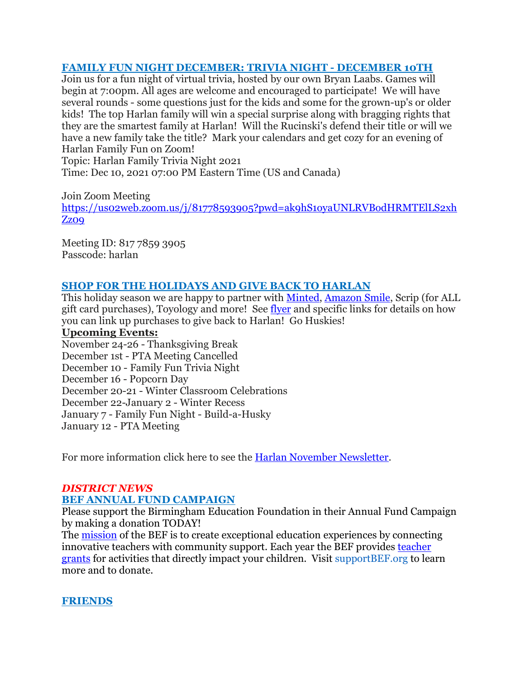## **FAMILY FUN NIGHT DECEMBER: TRIVIA NIGHT - DECEMBER 10TH**

Join us for a fun night of virtual trivia, hosted by our own Bryan Laabs. Games will begin at 7:00pm. All ages are welcome and encouraged to participate! We will have several rounds - some questions just for the kids and some for the grown-up's or older kids! The top Harlan family will win a special surprise along with bragging rights that they are the smartest family at Harlan! Will the Rucinski's defend their title or will we have a new family take the title? Mark your calendars and get cozy for an evening of Harlan Family Fun on Zoom!

Topic: Harlan Family Trivia Night 2021 Time: Dec 10, 2021 07:00 PM Eastern Time (US and Canada)

Join Zoom Meeting [https://us02web.zoom.us/j/81778593905?pwd=ak9hS1oyaUNLRVBodHRMTElLS2xh](https://us02web.zoom.us/j/81778593905?pwd=ak9hS1oyaUNLRVBodHRMTElLS2xhZz09) Zz<sub>O</sub>q

Meeting ID: 817 7859 3905 Passcode: harlan

# **SHOP FOR THE HOLIDAYS AND GIVE BACK TO HARLAN**

This holiday season we are happy to partner with [Minted,](https://drive.google.com/file/d/1kBWb9I8qmFZS4L79i9c9n__cHPwet1Nm/view?usp=sharing) [Amazon](https://drive.google.com/file/d/1AxA8Hnb3Q6JufYKxm2C9uAn2JC1mtT95/view?usp=sharing) Smile, Scrip (for ALL gift card purchases), Toyology and more! See [flyer](https://drive.google.com/file/d/1xFSr56EM8R0mlyKYirDWTnR0LPMml2si/view?usp=sharing) and specific links for details on how you can link up purchases to give back to Harlan! Go Huskies!

#### **Upcoming Events:**

November 24-26 - Thanksgiving Break December 1st - PTA Meeting Cancelled December 10 - Family Fun Trivia Night December 16 - Popcorn Day December 20-21 - Winter Classroom Celebrations December 22-January 2 - Winter Recess January 7 - Family Fun Night - Build-a-Husky January 12 - PTA Meeting

For more information click here to see the Harlan November [Newsletter.](https://drive.google.com/file/d/1RgEfE4oZ_9QnGeKkvPSQOb9eUIv4Vwy2/view?usp=sharing)

## *DISTRICT NEWS*

## **BEF ANNUAL FUND CAMPAIGN**

Please support the Birmingham Education Foundation in their Annual Fund Campaign by making a donation TODAY!

The [mission](https://drive.google.com/file/d/17jjIpnP2vpuLuj2TzYWP12JJuAW7uCgr/view?usp=sharing) of the BEF is to create exceptional education experiences by connecting innovative teachers with community support. Each year the BEF provides [teacher](https://drive.google.com/file/d/110A1vbj1oll00IUIFPsH6swkDZfRfPl9/view?usp=sharing) [grants](https://drive.google.com/file/d/110A1vbj1oll00IUIFPsH6swkDZfRfPl9/view?usp=sharing) for activities that directly impact your children. Visit supportBEF.org to learn more and to donate.

## **FRIENDS**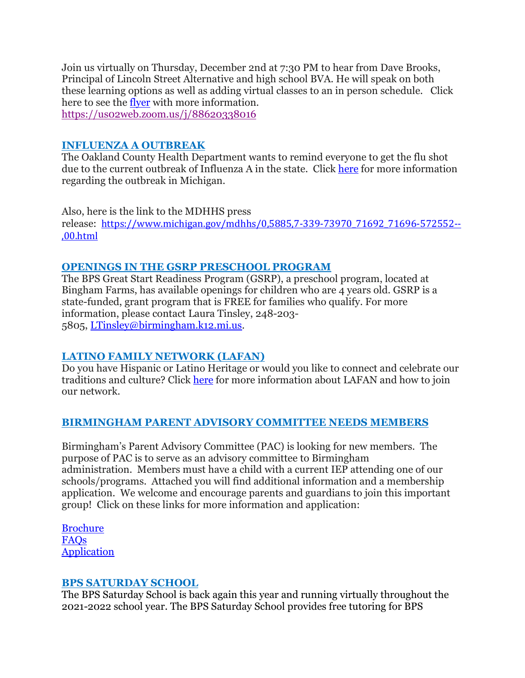Join us virtually on Thursday, December 2nd at 7:30 PM to hear from Dave Brooks, Principal of Lincoln Street Alternative and high school BVA. He will speak on both these learning options as well as adding virtual classes to an in person schedule. Click here to see the [flyer](https://drive.google.com/file/d/1ljOYlYJZaa6IUlkoo7XpcSsxOzSa4hPr/view?usp=sharing) with more information. <https://us02web.zoom.us/j/88620338016>

## **INFLUENZA A OUTBREAK**

The Oakland County Health Department wants to remind everyone to get the flu shot due to the current outbreak of Influenza A in the state. Click [here](https://drive.google.com/file/d/1XxYCTQG4vBQrLZ17hfifEmmeCYQ_ev5L/view?usp=sharing) for more information regarding the outbreak in Michigan.

Also, here is the link to the MDHHS press release: [https://www.michigan.gov/mdhhs/0,5885,7-339-73970\\_71692\\_71696-572552--](https://www.michigan.gov/mdhhs/0,5885,7-339-73970_71692_71696-572552--,00.html) [,00.html](https://www.michigan.gov/mdhhs/0,5885,7-339-73970_71692_71696-572552--,00.html)

## **OPENINGS IN THE GSRP PRESCHOOL PROGRAM**

The BPS Great Start Readiness Program (GSRP), a preschool program, located at Bingham Farms, has available openings for children who are 4 years old. GSRP is a state-funded, grant program that is FREE for families who qualify. For more information, please contact Laura Tinsley, 248-203- 5805, [LTinsley@birmingham.k12.mi.us.](mailto:LTinsley@birmingham.k12.mi.us)

## **LATINO FAMILY NETWORK (LAFAN)**

Do you have Hispanic or Latino Heritage or would you like to connect and celebrate our traditions and culture? Click [here](https://drive.google.com/file/d/1ePehaO8wCL-BKVmXCEN4--sCyRwpHYae/view?usp=sharing) for more information about LAFAN and how to join our network.

## **BIRMINGHAM PARENT ADVISORY COMMITTEE NEEDS MEMBERS**

Birmingham's Parent Advisory Committee (PAC) is looking for new members. The purpose of PAC is to serve as an advisory committee to Birmingham administration. Members must have a child with a current IEP attending one of our schools/programs. Attached you will find additional information and a membership application. We welcome and encourage parents and guardians to join this important group! Click on these links for more information and application:

[Brochure](https://drive.google.com/file/d/1jXVhvtfTvxAmpUicWt8Wtj4V0PxsCStm/view?usp=sharing) [FAQs](https://docs.google.com/document/d/18jvxUJA-f_AXEeOjyGh-5cmA2OouU5lZ/edit?usp=sharing&ouid=116191433314317801474&rtpof=true&sd=true) [Application](https://drive.google.com/file/d/1aCP2rsXNxLvS8cjV5hue92V4iWlWbdVk/view?usp=sharing)

## **BPS SATURDAY SCHOOL**

The BPS Saturday School is back again this year and running virtually throughout the 2021-2022 school year. The BPS Saturday School provides free tutoring for BPS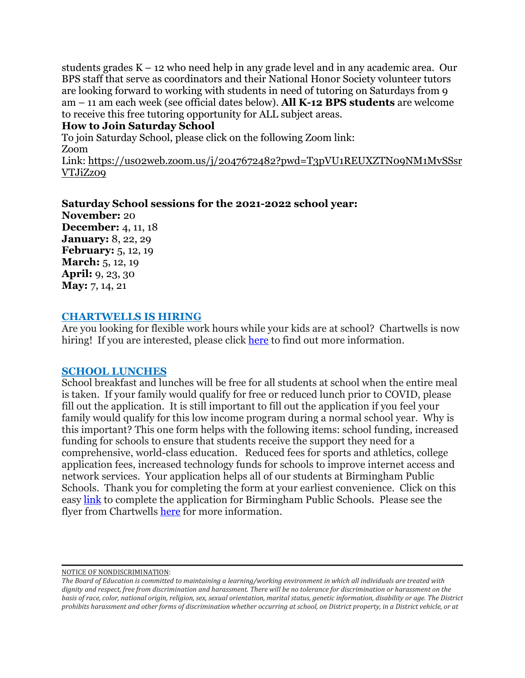students grades K – 12 who need help in any grade level and in any academic area. Our BPS staff that serve as coordinators and their National Honor Society volunteer tutors are looking forward to working with students in need of tutoring on Saturdays from 9 am – 11 am each week (see official dates below). **All K-12 BPS students** are welcome to receive this free tutoring opportunity for ALL subject areas.

#### **How to Join Saturday School**

To join Saturday School, please click on the following Zoom link: Zoom

Link: [https://us02web.zoom.us/j/2047672482?pwd=T3pVU1REUXZTN09NM1MvSSsr](https://us02web.zoom.us/j/2047672482?pwd=T3pVU1REUXZTN09NM1MvSSsrVTJiZz09) [VTJiZz09](https://us02web.zoom.us/j/2047672482?pwd=T3pVU1REUXZTN09NM1MvSSsrVTJiZz09)

**Saturday School sessions for the 2021-2022 school year: November:** 20 **December:** 4, 11, 18 **January:** 8, 22, 29 **February:** 5, 12, 19 **March:** 5, 12, 19 **April:** 9, 23, 30 **May:** 7, 14, 21

### **CHARTWELLS IS HIRING**

Are you looking for flexible work hours while your kids are at school? Chartwells is now hiring! If you are interested, please click [here](https://drive.google.com/file/d/1BZnOWYoHzPSntYtVL11r7nlIkMYTQFdQ/view?usp=sharing) to find out more information.

## **SCHOOL LUNCHES**

School breakfast and lunches will be free for all students at school when the entire meal is taken. If your family would qualify for free or reduced lunch prior to COVID, please fill out the application. It is still important to fill out the application if you feel your family would qualify for this low income program during a normal school year. Why is this important? This one form helps with the following items: school funding, increased funding for schools to ensure that students receive the support they need for a comprehensive, world-class education. Reduced fees for sports and athletics, college application fees, increased technology funds for schools to improve internet access and network services. Your application helps all of our students at Birmingham Public Schools. Thank you for completing the form at your earliest convenience. Click on this easy [link](https://www.lunchapp.com/) to complete the application for Birmingham Public Schools. Please see the flyer from Chartwells [here](https://docs.google.com/presentation/d/1Cg1-uEvuGrttRLgA1PKoZH1kp1TSFb3M/edit?usp=sharing&ouid=116191433314317801474&rtpof=true&sd=true) for more information.

NOTICE OF NONDISCRIMINATION:

The Board of Education is committed to maintaining a learning/working environment in which all individuals are treated with dignity and respect, free from discrimination and harassment. There will be no tolerance for discrimination or harassment on the basis of race, color, national origin, religion, sex, sexual orientation, marital status, genetic information, disability or age. The District prohibits harassment and other forms of discrimination whether occurring at school, on District property, in a District vehicle, or at